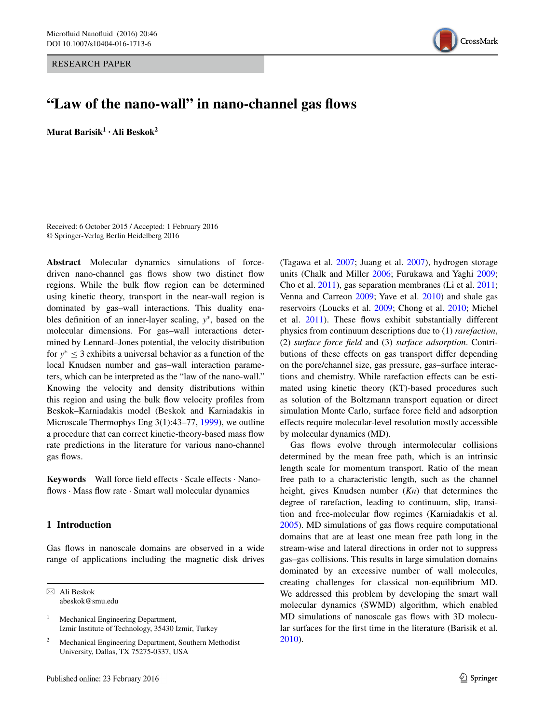RESEARCH PAPER



# **"Law of the nano‑wall" in nano‑channel gas flows**

**Murat Barisik1 · Ali Beskok2**

Received: 6 October 2015 / Accepted: 1 February 2016 © Springer-Verlag Berlin Heidelberg 2016

**Abstract** Molecular dynamics simulations of forcedriven nano-channel gas flows show two distinct flow regions. While the bulk flow region can be determined using kinetic theory, transport in the near-wall region is dominated by gas–wall interactions. This duality enables definition of an inner-layer scaling, *y*<sup>∗</sup> , based on the molecular dimensions. For gas–wall interactions determined by Lennard–Jones potential, the velocity distribution for *y*<sup>∗</sup> ≤ 3 exhibits a universal behavior as a function of the local Knudsen number and gas–wall interaction parameters, which can be interpreted as the "law of the nano-wall." Knowing the velocity and density distributions within this region and using the bulk flow velocity profiles from Beskok–Karniadakis model (Beskok and Karniadakis in Microscale Thermophys Eng 3(1):43–77, [1999\)](#page-8-0), we outline a procedure that can correct kinetic-theory-based mass flow rate predictions in the literature for various nano-channel gas flows.

**Keywords** Wall force field effects · Scale effects · Nanoflows  $\cdot$  Mass flow rate  $\cdot$  Smart wall molecular dynamics

## **1 Introduction**

Gas flows in nanoscale domains are observed in a wide range of applications including the magnetic disk drives

 $\boxtimes$  Ali Beskok abeskok@smu.edu

<sup>1</sup> Mechanical Engineering Department, Izmir Institute of Technology, 35430 Izmir, Turkey

Mechanical Engineering Department, Southern Methodist University, Dallas, TX 75275-0337, USA

(Tagawa et al. [2007;](#page-8-0) Juang et al. [2007\)](#page-8-1), hydrogen storage units (Chalk and Miller [2006](#page-8-2); Furukawa and Yaghi [2009](#page-8-3); Cho et al. [2011\)](#page-8-4), gas separation membranes (Li et al. [2011](#page-8-5); Venna and Carreon [2009;](#page-8-6) Yave et al. [2010\)](#page-8-7) and shale gas reservoirs (Loucks et al. [2009](#page-8-8); Chong et al. [2010;](#page-8-9) Michel et al. [2011\)](#page-8-10). These flows exhibit substantially different physics from continuum descriptions due to (1) *rarefaction*, (2) *surface force field* and (3) *surface adsorption*. Contributions of these effects on gas transport differ depending on the pore/channel size, gas pressure, gas–surface interactions and chemistry. While rarefaction effects can be estimated using kinetic theory (KT)-based procedures such as solution of the Boltzmann transport equation or direct simulation Monte Carlo, surface force field and adsorption effects require molecular-level resolution mostly accessible by molecular dynamics (MD).

Gas flows evolve through intermolecular collisions determined by the mean free path, which is an intrinsic length scale for momentum transport. Ratio of the mean free path to a characteristic length, such as the channel height, gives Knudsen number (*Kn*) that determines the degree of rarefaction, leading to continuum, slip, transition and free-molecular flow regimes (Karniadakis et al. [2005](#page-8-11)). MD simulations of gas flows require computational domains that are at least one mean free path long in the stream-wise and lateral directions in order not to suppress gas–gas collisions. This results in large simulation domains dominated by an excessive number of wall molecules, creating challenges for classical non-equilibrium MD. We addressed this problem by developing the smart wall molecular dynamics (SWMD) algorithm, which enabled MD simulations of nanoscale gas flows with 3D molecular surfaces for the first time in the literature (Barisik et al. [2010](#page-7-0)).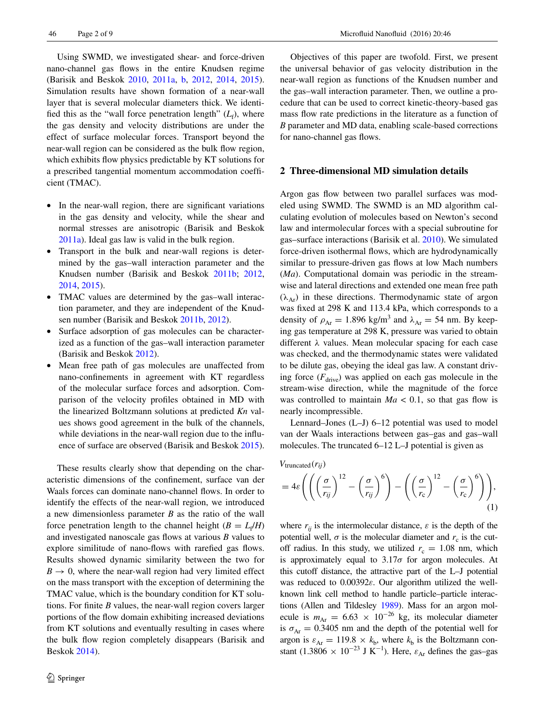Using SWMD, we investigated shear- and force-driven nano-channel gas flows in the entire Knudsen regime (Barisik and Beskok [2010](#page-7-1), [2011a](#page-7-2), [b](#page-7-3), [2012,](#page-7-4) [2014,](#page-7-5) [2015](#page-7-6)). Simulation results have shown formation of a near-wall layer that is several molecular diameters thick. We identified this as the "wall force penetration length"  $(L_f)$ , where the gas density and velocity distributions are under the effect of surface molecular forces. Transport beyond the near-wall region can be considered as the bulk flow region, which exhibits flow physics predictable by KT solutions for a prescribed tangential momentum accommodation coefficient (TMAC).

- In the near-wall region, there are significant variations in the gas density and velocity, while the shear and normal stresses are anisotropic (Barisik and Beskok [2011a\)](#page-7-2). Ideal gas law is valid in the bulk region.
- Transport in the bulk and near-wall regions is determined by the gas–wall interaction parameter and the Knudsen number (Barisik and Beskok [2011b;](#page-7-3) [2012,](#page-7-4) [2014](#page-7-5), [2015](#page-7-6)).
- TMAC values are determined by the gas–wall interaction parameter, and they are independent of the Knudsen number (Barisik and Beskok [2011b](#page-7-3), [2012](#page-7-4)).
- Surface adsorption of gas molecules can be characterized as a function of the gas–wall interaction parameter (Barisik and Beskok [2012](#page-7-4)).
- Mean free path of gas molecules are unaffected from nano-confinements in agreement with KT regardless of the molecular surface forces and adsorption. Comparison of the velocity profiles obtained in MD with the linearized Boltzmann solutions at predicted *Kn* values shows good agreement in the bulk of the channels, while deviations in the near-wall region due to the influence of surface are observed (Barisik and Beskok [2015](#page-7-6)).

These results clearly show that depending on the characteristic dimensions of the confinement, surface van der Waals forces can dominate nano-channel flows. In order to identify the effects of the near-wall region, we introduced a new dimensionless parameter *B* as the ratio of the wall force penetration length to the channel height  $(B = L_f/H)$ and investigated nanoscale gas flows at various *B* values to explore similitude of nano-flows with rarefied gas flows. Results showed dynamic similarity between the two for  $B \rightarrow 0$ , where the near-wall region had very limited effect on the mass transport with the exception of determining the TMAC value, which is the boundary condition for KT solutions. For finite *B* values, the near-wall region covers larger portions of the flow domain exhibiting increased deviations from KT solutions and eventually resulting in cases where the bulk flow region completely disappears (Barisik and Beskok [2014](#page-7-5)).

Objectives of this paper are twofold. First, we present the universal behavior of gas velocity distribution in the near-wall region as functions of the Knudsen number and the gas–wall interaction parameter. Then, we outline a procedure that can be used to correct kinetic-theory-based gas mass flow rate predictions in the literature as a function of *B* parameter and MD data, enabling scale-based corrections for nano-channel gas flows.

#### **2 Three‑dimensional MD simulation details**

Argon gas flow between two parallel surfaces was modeled using SWMD. The SWMD is an MD algorithm calculating evolution of molecules based on Newton's second law and intermolecular forces with a special subroutine for gas–surface interactions (Barisik et al. [2010\)](#page-7-0). We simulated force-driven isothermal flows, which are hydrodynamically similar to pressure-driven gas flows at low Mach numbers (*Ma*). Computational domain was periodic in the streamwise and lateral directions and extended one mean free path  $(\lambda_{Ar})$  in these directions. Thermodynamic state of argon was fixed at 298 K and 113.4 kPa, which corresponds to a density of  $\rho_{Ar} = 1.896$  kg/m<sup>3</sup> and  $\lambda_{Ar} = 54$  nm. By keeping gas temperature at 298 K, pressure was varied to obtain different *λ* values. Mean molecular spacing for each case was checked, and the thermodynamic states were validated to be dilute gas, obeying the ideal gas law. A constant driving force  $(F_{\text{drive}})$  was applied on each gas molecule in the stream-wise direction, while the magnitude of the force was controlled to maintain  $Ma < 0.1$ , so that gas flow is nearly incompressible.

Lennard–Jones (L–J) 6–12 potential was used to model van der Waals interactions between gas–gas and gas–wall molecules. The truncated 6–12 L–J potential is given as

*V*truncated(*rij*)

$$
=4\varepsilon\left(\left(\left(\frac{\sigma}{r_{ij}}\right)^{12}-\left(\frac{\sigma}{r_{ij}}\right)^{6}\right)-\left(\left(\frac{\sigma}{r_{c}}\right)^{12}-\left(\frac{\sigma}{r_{c}}\right)^{6}\right)\right),\tag{1}
$$

where  $r_{ii}$  is the intermolecular distance,  $\varepsilon$  is the depth of the potential well,  $\sigma$  is the molecular diameter and  $r_c$  is the cutoff radius. In this study, we utilized  $r_c = 1.08$  nm, which is approximately equal to  $3.17\sigma$  for argon molecules. At this cutoff distance, the attractive part of the L–J potential was reduced to 0.00392*ε*. Our algorithm utilized the wellknown link cell method to handle particle–particle interactions (Allen and Tildesley [1989\)](#page-7-7). Mass for an argon molecule is  $m_{Ar} = 6.63 \times 10^{-26}$  kg, its molecular diameter is  $\sigma_{Ar} = 0.3405$  nm and the depth of the potential well for argon is  $\varepsilon_{Ar} = 119.8 \times k_b$ , where  $k_b$  is the Boltzmann constant (1.3806 × 10<sup>-23</sup> J K<sup>-1</sup>). Here,  $\varepsilon_{Ar}$  defines the gas-gas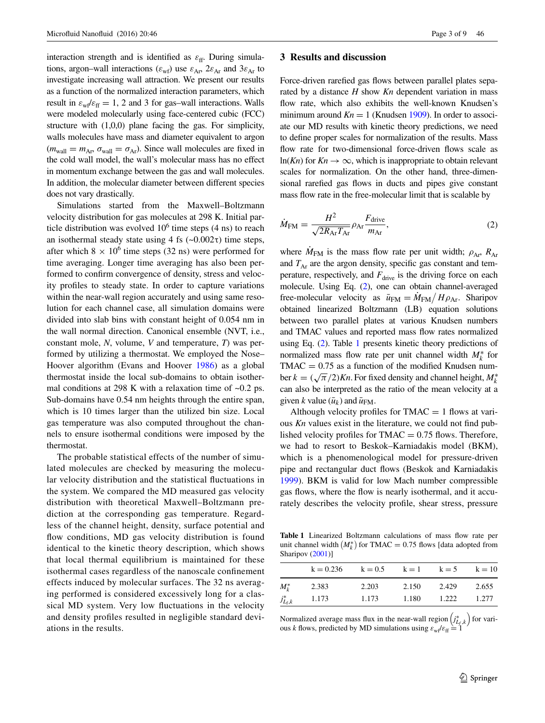interaction strength and is identified as  $\varepsilon_{ff}$ . During simulations, argon–wall interactions ( $\varepsilon_{wf}$ ) use  $\varepsilon_{Ar}$ ,  $2\varepsilon_{Ar}$  and  $3\varepsilon_{Ar}$  to investigate increasing wall attraction. We present our results as a function of the normalized interaction parameters, which result in  $\varepsilon_{\rm wf}\varepsilon_{\rm ff} = 1$ , 2 and 3 for gas–wall interactions. Walls were modeled molecularly using face-centered cubic (FCC) structure with (1,0,0) plane facing the gas. For simplicity, walls molecules have mass and diameter equivalent to argon  $(m_{\text{wall}} = m_{\text{Ar}}, \sigma_{\text{wall}} = \sigma_{\text{Ar}})$ . Since wall molecules are fixed in the cold wall model, the wall's molecular mass has no effect in momentum exchange between the gas and wall molecules. In addition, the molecular diameter between different species does not vary drastically.

Simulations started from the Maxwell–Boltzmann velocity distribution for gas molecules at 298 K. Initial particle distribution was evolved  $10^6$  time steps (4 ns) to reach an isothermal steady state using 4 fs  $(-0.002τ)$  time steps, after which  $8 \times 10^6$  time steps (32 ns) were performed for time averaging. Longer time averaging has also been performed to confirm convergence of density, stress and velocity profiles to steady state. In order to capture variations within the near-wall region accurately and using same resolution for each channel case, all simulation domains were divided into slab bins with constant height of 0.054 nm in the wall normal direction. Canonical ensemble (NVT, i.e., constant mole, *N*, volume, *V* and temperature, *T*) was performed by utilizing a thermostat. We employed the Nose– Hoover algorithm (Evans and Hoover [1986](#page-8-12)) as a global thermostat inside the local sub-domains to obtain isothermal conditions at 298 K with a relaxation time of ~0.2 ps. Sub-domains have 0.54 nm heights through the entire span, which is 10 times larger than the utilized bin size. Local gas temperature was also computed throughout the channels to ensure isothermal conditions were imposed by the thermostat.

The probable statistical effects of the number of simulated molecules are checked by measuring the molecular velocity distribution and the statistical fluctuations in the system. We compared the MD measured gas velocity distribution with theoretical Maxwell–Boltzmann prediction at the corresponding gas temperature. Regardless of the channel height, density, surface potential and flow conditions, MD gas velocity distribution is found identical to the kinetic theory description, which shows that local thermal equilibrium is maintained for these isothermal cases regardless of the nanoscale confinement effects induced by molecular surfaces. The 32 ns averaging performed is considered excessively long for a classical MD system. Very low fluctuations in the velocity and density profiles resulted in negligible standard deviations in the results.

### **3 Results and discussion**

Force-driven rarefied gas flows between parallel plates separated by a distance *H* show *Kn* dependent variation in mass flow rate, which also exhibits the well-known Knudsen's minimum around  $Kn = 1$  (Knudsen [1909](#page-8-13)). In order to associate our MD results with kinetic theory predictions, we need to define proper scales for normalization of the results. Mass flow rate for two-dimensional force-driven flows scale as ln(*Kn*) for  $Kn \to \infty$ , which is inappropriate to obtain relevant scales for normalization. On the other hand, three-dimensional rarefied gas flows in ducts and pipes give constant mass flow rate in the free-molecular limit that is scalable by

<span id="page-2-0"></span>
$$
\dot{M}_{\text{FM}} = \frac{H^2}{\sqrt{2R_{\text{Ar}}T_{\text{Ar}}}} \rho_{\text{Ar}} \frac{F_{\text{drive}}}{m_{\text{Ar}}},\tag{2}
$$

where  $M_{\text{FM}}$  is the mass flow rate per unit width;  $\rho_{\text{Ar}}$ ,  $R_{\text{Ar}}$ and  $T_{Ar}$  are the argon density, specific gas constant and temperature, respectively, and  $F_{\text{drive}}$  is the driving force on each molecule. Using Eq. ([2\)](#page-2-0), one can obtain channel-averaged free-molecular velocity as  $\bar{u}_{FM} = \dot{M}_{FM} / H \rho_{Ar}$ . Sharipov obtained linearized Boltzmann (LB) equation solutions between two parallel plates at various Knudsen numbers and TMAC values and reported mass flow rates normalized using Eq. [\(2](#page-2-0)). Table [1](#page-2-1) presents kinetic theory predictions of normalized mass flow rate per unit channel width *M*<sup>∗</sup> *<sup>k</sup>* for  $TMAC = 0.75$  as a function of the modified Knudsen number  $k = (\sqrt{\pi}/2)Kn$ . For fixed density and channel height,  $M_k^*$ can also be interpreted as the ratio of the mean velocity at a given *k* value  $(\bar{u}_k)$  and  $\bar{u}_{FM}$ .

Although velocity profiles for  $TMAC = 1$  flows at various *Kn* values exist in the literature, we could not find published velocity profiles for  $TMAC = 0.75$  flows. Therefore, we had to resort to Beskok–Karniadakis model (BKM), which is a phenomenological model for pressure-driven pipe and rectangular duct flows (Beskok and Karniadakis [1999](#page-8-14)). BKM is valid for low Mach number compressible gas flows, where the flow is nearly isothermal, and it accurately describes the velocity profile, shear stress, pressure

<span id="page-2-1"></span>**Table 1** Linearized Boltzmann calculations of mass flow rate per unit channel width  $(M_k^*)$  for TMAC = 0.75 flows [data adopted from Sharipov ([2001\)](#page-8-15)]

|               | $k = 0.236$ | $k = 0.5$ | $k=1$ | $k = 5$ | $k = 10$ |
|---------------|-------------|-----------|-------|---------|----------|
| $M_{\nu}^*$   | 2.383       | 2.203     | 2.150 | 2.429   | 2.655    |
| $j_{L_f,k}^*$ | 1.173       | 1.173     | 1.180 | 1.222   | 1.277    |

Normalized average mass flux in the near-wall region  $(j_{L_f,k}^*)$  for various *k* flows, predicted by MD simulations using  $\varepsilon_{\rm wf}/\varepsilon_{\rm ff} = 1$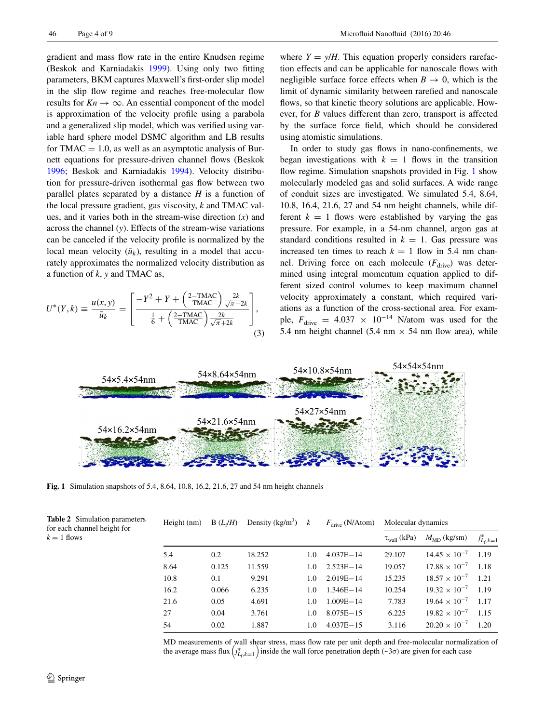gradient and mass flow rate in the entire Knudsen regime (Beskok and Karniadakis [1999](#page-8-14)). Using only two fitting parameters, BKM captures Maxwell's first-order slip model in the slip flow regime and reaches free-molecular flow results for  $Kn \to \infty$ . An essential component of the model is approximation of the velocity profile using a parabola and a generalized slip model, which was verified using variable hard sphere model DSMC algorithm and LB results for TMAC  $= 1.0$ , as well as an asymptotic analysis of Burnett equations for pressure-driven channel flows (Beskok [1996](#page-8-16); Beskok and Karniadakis [1994\)](#page-8-17). Velocity distribution for pressure-driven isothermal gas flow between two parallel plates separated by a distance *H* is a function of the local pressure gradient, gas viscosity, *k* and TMAC values, and it varies both in the stream-wise direction (*x*) and across the channel (*y*). Effects of the stream-wise variations can be canceled if the velocity profile is normalized by the local mean velocity  $(\bar{u}_k)$ , resulting in a model that accurately approximates the normalized velocity distribution as a function of *k*, *y* and TMAC as,

$$
U^*(Y,k) \equiv \frac{u(x,y)}{\bar{u}_k} = \left[\frac{-Y^2 + Y + \left(\frac{2-\text{TMAC}}{\text{TMAC}}\right)\frac{2k}{\sqrt{\pi}+2k}}{\frac{1}{6} + \left(\frac{2-\text{TMAC}}{\text{TMAC}}\right)\frac{2k}{\sqrt{\pi}+2k}}\right],\tag{3}
$$

where  $Y = y/H$ . This equation properly considers rarefaction effects and can be applicable for nanoscale flows with negligible surface force effects when  $B \to 0$ , which is the limit of dynamic similarity between rarefied and nanoscale flows, so that kinetic theory solutions are applicable. However, for *B* values different than zero, transport is affected by the surface force field, which should be considered using atomistic simulations.

<span id="page-3-2"></span>In order to study gas flows in nano-confinements, we began investigations with  $k = 1$  flows in the transition flow regime. Simulation snapshots provided in Fig. [1](#page-3-0) show molecularly modeled gas and solid surfaces. A wide range of conduit sizes are investigated. We simulated 5.4, 8.64, 10.8, 16.4, 21.6, 27 and 54 nm height channels, while different  $k = 1$  flows were established by varying the gas pressure. For example, in a 54-nm channel, argon gas at standard conditions resulted in  $k = 1$ . Gas pressure was increased ten times to reach  $k = 1$  flow in 5.4 nm channel. Driving force on each molecule  $(F_{\text{drive}})$  was determined using integral momentum equation applied to different sized control volumes to keep maximum channel velocity approximately a constant, which required variations as a function of the cross-sectional area. For example,  $F_{\text{drive}} = 4.037 \times 10^{-14}$  N/atom was used for the 5.4 nm height channel (5.4 nm  $\times$  54 nm flow area), while



<span id="page-3-0"></span>**Fig. 1** Simulation snapshots of 5.4, 8.64, 10.8, 16.2, 21.6, 27 and 54 nm height channels

| Height (nm) | $B(L_f/H)$ | Density (kg/m <sup>3</sup> ) $k$ |               | $F_{\text{drive}}$ (N/Atom) | Molecular dynamics         |                        |                 |
|-------------|------------|----------------------------------|---------------|-----------------------------|----------------------------|------------------------|-----------------|
|             |            |                                  |               |                             | $\tau_{\text{wall}}$ (kPa) | $M_{\rm MD}$ (kg/sm)   | $j_{L_f,k=1}^*$ |
| 5.4         | 0.2        | 18.252                           | $1.0^{\circ}$ | $4.037E - 14$               | 29.107                     | $14.45 \times 10^{-7}$ | 1.19            |
| 8.64        | 0.125      | 11.559                           | $1.0^{\circ}$ | $2.523E - 14$               | 19.057                     | $17.88 \times 10^{-7}$ | 1.18            |
| 10.8        | 0.1        | 9.291                            | 1.0           | $2.019E - 14$               | 15.235                     | $18.57 \times 10^{-7}$ | 1.21            |
| 16.2        | 0.066      | 6.235                            | $1.0^{\circ}$ | $1.346E - 14$               | 10.254                     | $19.32 \times 10^{-7}$ | 1.19            |
| 21.6        | 0.05       | 4.691                            | $1.0^{\circ}$ | $1.009E - 14$               | 7.783                      | $19.64 \times 10^{-7}$ | 1.17            |
| 27          | 0.04       | 3.761                            | $1.0^{\circ}$ | $8.075E - 15$               | 6.225                      | $19.82 \times 10^{-7}$ | 1.15            |
| 54          | 0.02       | 1.887                            | 1.0           | $4.037E - 15$               | 3.116                      | $20.20 \times 10^{-7}$ | 1.20            |
|             |            |                                  |               |                             |                            |                        |                 |

MD measurements of wall shear stress, mass flow rate per unit depth and free-molecular normalization of the average mass flux  $(j_{L_f,k=1}^*)$  inside the wall force penetration depth (~3 $\sigma$ ) are given for each case

<span id="page-3-1"></span>**Table 2** Simulation parameters for each channel height for  $k = 1$  flows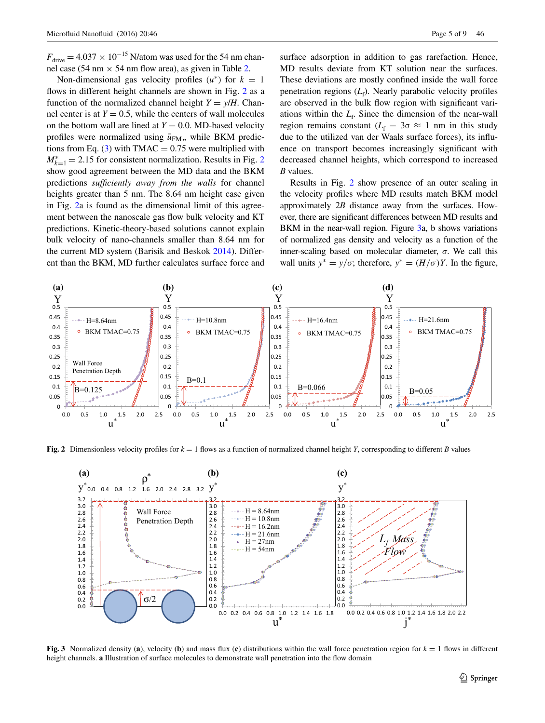$F_{\text{drive}} = 4.037 \times 10^{-15}$  N/atom was used for the 54 nm channel case (54 nm  $\times$  54 nm flow area), as given in Table [2.](#page-3-1)

Non-dimensional gas velocity profiles  $(u^*)$  for  $k = 1$ flows in different height channels are shown in Fig. [2](#page-4-0) as a function of the normalized channel height  $Y = y/H$ . Channel center is at  $Y = 0.5$ , while the centers of wall molecules on the bottom wall are lined at  $Y = 0.0$ . MD-based velocity profiles were normalized using  $\bar{u}_{FM}$ , while BKM predic-tions from Eq. [\(3](#page-3-2)) with TMAC =  $0.75$  were multiplied with  $M_{k=1}^* = 2.15$  $M_{k=1}^* = 2.15$  $M_{k=1}^* = 2.15$  for consistent normalization. Results in Fig. 2 show good agreement between the MD data and the BKM predictions *sufficiently away from the walls* for channel heights greater than 5 nm. The 8.64 nm height case given in Fig. [2a](#page-4-0) is found as the dimensional limit of this agreement between the nanoscale gas flow bulk velocity and KT predictions. Kinetic-theory-based solutions cannot explain bulk velocity of nano-channels smaller than 8.64 nm for the current MD system (Barisik and Beskok [2014](#page-7-5)). Different than the BKM, MD further calculates surface force and

surface adsorption in addition to gas rarefaction. Hence, MD results deviate from KT solution near the surfaces. These deviations are mostly confined inside the wall force penetration regions (*L*<sub>f</sub>). Nearly parabolic velocity profiles are observed in the bulk flow region with significant variations within the  $L_f$ . Since the dimension of the near-wall region remains constant ( $L_f = 3\sigma \approx 1$  nm in this study due to the utilized van der Waals surface forces), its influence on transport becomes increasingly significant with decreased channel heights, which correspond to increased *B* values.

Results in Fig. [2](#page-4-0) show presence of an outer scaling in the velocity profiles where MD results match BKM model approximately 2*B* distance away from the surfaces. However, there are significant differences between MD results and BKM in the near-wall region. Figure [3a](#page-4-1), b shows variations of normalized gas density and velocity as a function of the inner-scaling based on molecular diameter, *σ*. We call this wall units  $y^* = y/\sigma$ ; therefore,  $y^* = (H/\sigma)Y$ . In the figure,



<span id="page-4-0"></span>**Fig.** 2 Dimensionless velocity profiles for  $k = 1$  flows as a function of normalized channel height *Y*, corresponding to different *B* values



<span id="page-4-1"></span>**Fig.** 3 Normalized density (a), velocity (b) and mass flux (c) distributions within the wall force penetration region for  $k = 1$  flows in different height channels. **a** Illustration of surface molecules to demonstrate wall penetration into the flow domain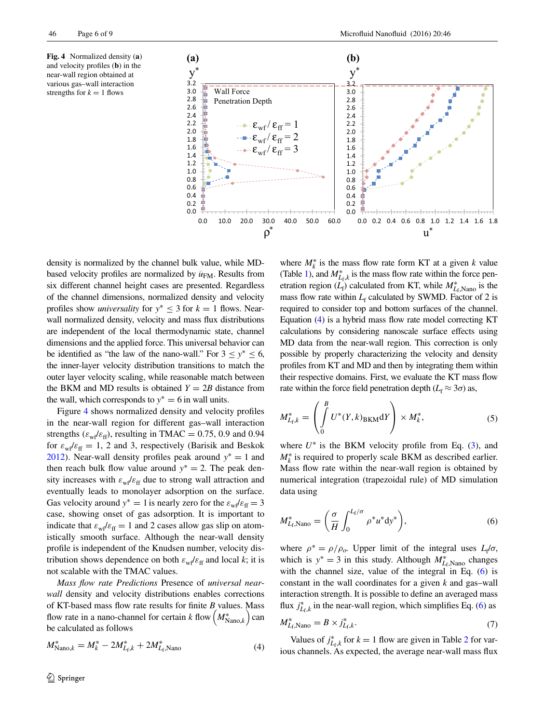<span id="page-5-0"></span>**Fig. 4** Normalized density (**a**) and velocity profiles (**b**) in the near-wall region obtained at various gas–wall interaction strengths for  $k = 1$  flows



density is normalized by the channel bulk value, while MDbased velocity profiles are normalized by  $\bar{u}_{FM}$ . Results from six different channel height cases are presented. Regardless of the channel dimensions, normalized density and velocity profiles show *universality* for  $y^* \leq 3$  for  $k = 1$  flows. Nearwall normalized density, velocity and mass flux distributions are independent of the local thermodynamic state, channel dimensions and the applied force. This universal behavior can be identified as "the law of the nano-wall." For  $3 \le y^* \le 6$ , the inner-layer velocity distribution transitions to match the outer layer velocity scaling, while reasonable match between the BKM and MD results is obtained  $Y = 2B$  distance from the wall, which corresponds to  $y^* = 6$  in wall units.

Figure [4](#page-5-0) shows normalized density and velocity profiles in the near-wall region for different gas–wall interaction strengths ( $\varepsilon_{\rm wf}\varepsilon_{\rm ff}$ ), resulting in TMAC = 0.75, 0.9 and 0.94 for  $\varepsilon_{\rm wf}\varepsilon_{\rm ff} = 1$ , 2 and 3, respectively (Barisik and Beskok [2012](#page-7-4)). Near-wall density profiles peak around *y*<sup>∗</sup> = 1 and then reach bulk flow value around  $y^* = 2$ . The peak density increases with  $\varepsilon_{\rm wf}/\varepsilon_{\rm ff}$  due to strong wall attraction and eventually leads to monolayer adsorption on the surface. Gas velocity around  $y^* = 1$  is nearly zero for the  $\varepsilon_{\rm wf}/\varepsilon_{\rm ff} = 3$ case, showing onset of gas adsorption. It is important to indicate that  $\varepsilon_{\rm w}/\varepsilon_{\rm ff} = 1$  and 2 cases allow gas slip on atomistically smooth surface. Although the near-wall density profile is independent of the Knudsen number, velocity distribution shows dependence on both  $\varepsilon_w / \varepsilon_{ff}$  and local *k*; it is not scalable with the TMAC values.

*Mass flow rate Predictions* Presence of *universal nearwall* density and velocity distributions enables corrections of KT-based mass flow rate results for finite *B* values. Mass flow rate in a nano-channel for certain *k* flow  $\left(M^*_{\text{Nano},k}\right)$  can be calculated as follows

$$
M_{\text{Nano},k}^{*} = M_{k}^{*} - 2M_{L_{\text{f}},k}^{*} + 2M_{L_{\text{f}},\text{Nano}}^{*}
$$
 (4)

where  $M_k^*$  is the mass flow rate form KT at a given  $k$  value (Table [1](#page-2-1)), and  $M^*_{L_f,k}$  is the mass flow rate within the force penetration region  $(L_f)$  calculated from KT, while  $M_{L_f,Nano}^*$  is the mass flow rate within  $L_f$  calculated by SWMD. Factor of 2 is required to consider top and bottom surfaces of the channel. Equation [\(4\)](#page-5-1) is a hybrid mass flow rate model correcting KT calculations by considering nanoscale surface effects using MD data from the near-wall region. This correction is only possible by properly characterizing the velocity and density profiles from KT and MD and then by integrating them within their respective domains. First, we evaluate the KT mass flow rate within the force field penetration depth ( $L_f \approx 3\sigma$ ) as,

<span id="page-5-4"></span>
$$
M_{L_f,k}^* = \left(\int_0^B U^*(Y,k)_{\text{BKM}}dY\right) \times M_k^*,\tag{5}
$$

where  $U^*$  is the BKM velocity profile from Eq.  $(3)$  $(3)$ , and  $M_k^*$  is required to properly scale BKM as described earlier. Mass flow rate within the near-wall region is obtained by numerical integration (trapezoidal rule) of MD simulation data using

<span id="page-5-2"></span>
$$
M_{L_{\rm f},\text{Nano}}^* = \left(\frac{\sigma}{H} \int_0^{L_{\rm f}/\sigma} \rho^* u^* \mathrm{d}y^*\right),\tag{6}
$$

where  $\rho^* = \rho / \rho_o$ . Upper limit of the integral uses  $L_f / \sigma$ , which is  $y^* = 3$  in this study. Although  $M^*_{L_f,\text{Nano}}$  changes with the channel size, value of the integral in Eq. ([6\)](#page-5-2) is constant in the wall coordinates for a given *k* and gas–wall interaction strength. It is possible to define an averaged mass flux  $j_{L_f,k}^*$  in the near-wall region, which simplifies Eq. [\(6](#page-5-2)) as

<span id="page-5-3"></span>
$$
M_{L_{\rm f},\text{Nano}}^* = B \times j_{L_{\rm f},k}^*.
$$
\n<sup>(7)</sup>

<span id="page-5-1"></span>Values of  $j_{L_f,k}^*$  for  $k = 1$  flow are given in Table [2](#page-3-1) for various channels. As expected, the average near-wall mass flux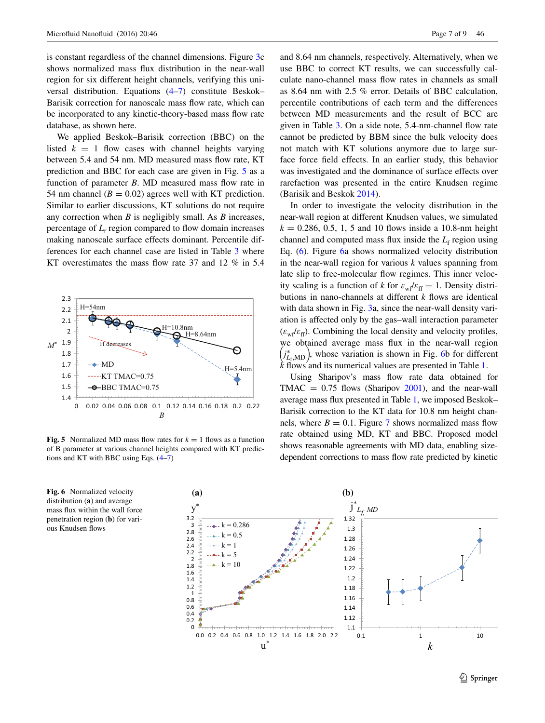is constant regardless of the channel dimensions. Figure [3c](#page-4-1) shows normalized mass flux distribution in the near-wall region for six different height channels, verifying this universal distribution. Equations ([4–](#page-5-1)[7\)](#page-5-3) constitute Beskok– Barisik correction for nanoscale mass flow rate, which can be incorporated to any kinetic-theory-based mass flow rate database, as shown here.

We applied Beskok–Barisik correction (BBC) on the listed  $k = 1$  flow cases with channel heights varying between 5.4 and 54 nm. MD measured mass flow rate, KT prediction and BBC for each case are given in Fig. [5](#page-6-0) as a function of parameter *B*. MD measured mass flow rate in 54 nm channel  $(B = 0.02)$  agrees well with KT prediction. Similar to earlier discussions, KT solutions do not require any correction when *B* is negligibly small. As *B* increases, percentage of  $L_f$  region compared to flow domain increases making nanoscale surface effects dominant. Percentile differences for each channel case are listed in Table [3](#page-7-8) where KT overestimates the mass flow rate 37 and 12 % in 5.4



<span id="page-6-0"></span>**Fig. 5** Normalized MD mass flow rates for  $k = 1$  flows as a function of B parameter at various channel heights compared with KT predictions and KT with BBC using Eqs. [\(4–](#page-5-1)[7](#page-5-3))

<span id="page-6-1"></span>

and 8.64 nm channels, respectively. Alternatively, when we use BBC to correct KT results, we can successfully calculate nano-channel mass flow rates in channels as small as 8.64 nm with 2.5 % error. Details of BBC calculation, percentile contributions of each term and the differences between MD measurements and the result of BCC are given in Table [3.](#page-7-8) On a side note, 5.4-nm-channel flow rate cannot be predicted by BBM since the bulk velocity does not match with KT solutions anymore due to large surface force field effects. In an earlier study, this behavior was investigated and the dominance of surface effects over rarefaction was presented in the entire Knudsen regime (Barisik and Beskok [2014](#page-7-5)).

In order to investigate the velocity distribution in the near-wall region at different Knudsen values, we simulated  $k = 0.286, 0.5, 1, 5$  and 10 flows inside a 10.8-nm height channel and computed mass flux inside the  $L_f$  region using Eq. ([6\)](#page-5-2). Figure [6a](#page-6-1) shows normalized velocity distribution in the near-wall region for various *k* values spanning from late slip to free-molecular flow regimes. This inner velocity scaling is a function of *k* for  $\varepsilon_w/\varepsilon_f = 1$ . Density distributions in nano-channels at different *k* flows are identical with data shown in Fig. [3](#page-4-1)a, since the near-wall density variation is affected only by the gas–wall interaction parameter  $(\varepsilon_w/\varepsilon_f)$ . Combining the local density and velocity profiles, we obtained average mass flux in the near-wall region  $j_{L_f, \text{MD}}^*$ , whose variation is shown in Fig. [6b](#page-6-1) for different *k* flows and its numerical values are presented in Table [1](#page-2-1).

Using Sharipov's mass flow rate data obtained for TMAC  $= 0.75$  flows (Sharipov [2001\)](#page-8-15), and the near-wall average mass flux presented in Table [1](#page-2-1), we imposed Beskok– Barisik correction to the KT data for 10.8 nm height channels, where  $B = 0.1$ . Figure [7](#page-7-9) shows normalized mass flow rate obtained using MD, KT and BBC. Proposed model shows reasonable agreements with MD data, enabling sizedependent corrections to mass flow rate predicted by kinetic

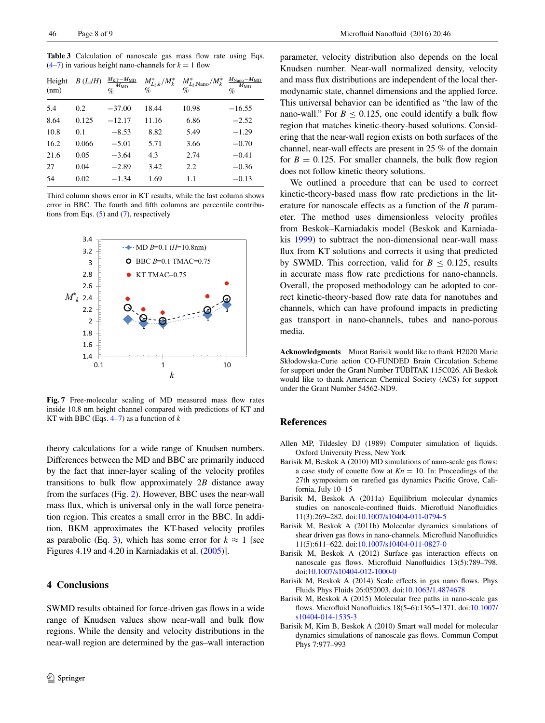<span id="page-7-8"></span>**Table 3** Calculation of nanoscale gas mass flow rate using Eqs.  $(4-7)$  $(4-7)$  $(4-7)$  in various height nano-channels for  $k = 1$  flow

| Height<br>(nm) | $B(L_f/H)$ | $M_{\text{KT}}-M_{\text{MD}}$<br>$M_{\rm MD}$<br>$\%$ | $M_{L_{f},k}^{*}/M_{k}^{*}$<br>$\%$ | $M_{L_f,\text{Nano}}^*/M_k^*$<br>% | $M_{\text{Nano}}-M_{\text{MD}}$<br>$M_{\rm MD}$<br>% |
|----------------|------------|-------------------------------------------------------|-------------------------------------|------------------------------------|------------------------------------------------------|
| 5.4            | 0.2        | $-37.00$                                              | 18.44                               | 10.98                              | $-16.55$                                             |
| 8.64           | 0.125      | $-12.17$                                              | 11.16                               | 6.86                               | $-2.52$                                              |
| 10.8           | 0.1        | $-8.53$                                               | 8.82                                | 5.49                               | $-1.29$                                              |
| 16.2           | 0.066      | $-5.01$                                               | 5.71                                | 3.66                               | $-0.70$                                              |
| 21.6           | 0.05       | $-3.64$                                               | 4.3                                 | 2.74                               | $-0.41$                                              |
| 27             | 0.04       | $-2.89$                                               | 3.42                                | 2.2                                | $-0.36$                                              |
| 54             | 0.02       | $-1.34$                                               | 1.69                                | 1.1                                | $-0.13$                                              |

Third column shows error in KT results, while the last column shows error in BBC. The fourth and fifth columns are percentile contributions from Eqs.  $(5)$  $(5)$  and  $(7)$  $(7)$ , respectively



<span id="page-7-9"></span>**Fig. 7** Free-molecular scaling of MD measured mass flow rates inside 10.8 nm height channel compared with predictions of KT and KT with BBC (Eqs. [4](#page-5-1)[–7](#page-5-3)) as a function of *k*

theory calculations for a wide range of Knudsen numbers. Differences between the MD and BBC are primarily induced by the fact that inner-layer scaling of the velocity profiles transitions to bulk flow approximately 2*B* distance away from the surfaces (Fig. [2\)](#page-4-0). However, BBC uses the near-wall mass flux, which is universal only in the wall force penetration region. This creates a small error in the BBC. In addition, BKM approximates the KT-based velocity profiles as parabolic (Eq. [3](#page-3-2)), which has some error for  $k \approx 1$  [see Figures 4.19 and 4.20 in Karniadakis et al. [\(2005\)](#page-8-11)].

### **4 Conclusions**

SWMD results obtained for force-driven gas flows in a wide range of Knudsen values show near-wall and bulk flow regions. While the density and velocity distributions in the near-wall region are determined by the gas–wall interaction

parameter, velocity distribution also depends on the local Knudsen number. Near-wall normalized density, velocity and mass flux distributions are independent of the local thermodynamic state, channel dimensions and the applied force. This universal behavior can be identified as "the law of the nano-wall." For  $B \le 0.125$ , one could identify a bulk flow region that matches kinetic-theory-based solutions. Considering that the near-wall region exists on both surfaces of the channel, near-wall effects are present in 25 % of the domain for  $B = 0.125$ . For smaller channels, the bulk flow region does not follow kinetic theory solutions.

We outlined a procedure that can be used to correct kinetic-theory-based mass flow rate predictions in the literature for nanoscale effects as a function of the *B* parameter. The method uses dimensionless velocity profiles from Beskok–Karniadakis model (Beskok and Karniadakis [1999\)](#page-8-14) to subtract the non-dimensional near-wall mass flux from KT solutions and corrects it using that predicted by SWMD. This correction, valid for  $B \leq 0.125$ , results in accurate mass flow rate predictions for nano-channels. Overall, the proposed methodology can be adopted to correct kinetic-theory-based flow rate data for nanotubes and channels, which can have profound impacts in predicting gas transport in nano-channels, tubes and nano-porous media.

**Acknowledgments** Murat Barisik would like to thank H2020 Marie Skłodowska-Curie action CO-FUNDED Brain Circulation Scheme for support under the Grant Number TÜBİTAK 115C026. Ali Beskok would like to thank American Chemical Society (ACS) for support under the Grant Number 54562-ND9.

### **References**

- <span id="page-7-7"></span>Allen MP, Tildesley DJ (1989) Computer simulation of liquids. Oxford University Press, New York
- <span id="page-7-1"></span>Barisik M, Beskok A (2010) MD simulations of nano-scale gas flows: a case study of couette flow at  $Kn = 10$ . In: Proceedings of the 27th symposium on rarefied gas dynamics Pacific Grove, California, July 10–15
- <span id="page-7-2"></span>Barisik M, Beskok A (2011a) Equilibrium molecular dynamics studies on nanoscale-confined fluids. Microfluid Nanofluidics 11(3):269–282. doi[:10.1007/s10404-011-0794-5](http://dx.doi.org/10.1007/s10404-011-0794-5)
- <span id="page-7-3"></span>Barisik M, Beskok A (2011b) Molecular dynamics simulations of shear driven gas flows in nano-channels. Microfluid Nanofluidics 11(5):611–622. doi[:10.1007/s10404-011-0827-0](http://dx.doi.org/10.1007/s10404-011-0827-0)
- <span id="page-7-4"></span>Barisik M, Beskok A (2012) Surface–gas interaction effects on nanoscale gas flows. Microfluid Nanofluidics 13(5):789–798. doi[:10.1007/s10404-012-1000-0](http://dx.doi.org/10.1007/s10404-012-1000-0)
- <span id="page-7-5"></span>Barisik M, Beskok A (2014) Scale effects in gas nano flows. Phys Fluids Phys Fluids 26:052003. doi[:10.1063/1.4874678](http://dx.doi.org/10.1063/1.4874678)
- <span id="page-7-6"></span>Barisik M, Beskok A (2015) Molecular free paths in nano-scale gas flows. Microfluid Nanofluidics 18(5–6):1365–1371. doi[:10.1007/](http://dx.doi.org/10.1007/s10404-014-1535-3) [s10404-014-1535-3](http://dx.doi.org/10.1007/s10404-014-1535-3)
- <span id="page-7-0"></span>Barisik M, Kim B, Beskok A (2010) Smart wall model for molecular dynamics simulations of nanoscale gas flows. Commun Comput Phys 7:977–993